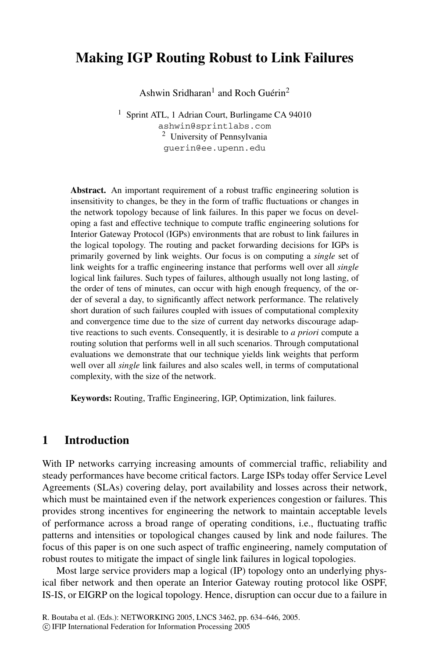# **Making IGP Routing Robust to Link Failures**

Ashwin Sridharan<sup>1</sup> and Roch Guérin<sup>2</sup>

<sup>1</sup> Sprint ATL, 1 Adrian Court, Burlingame CA 94010 ashwin@sprintlabs.com <sup>2</sup> University of Pennsylvania guerin@ee.upenn.edu

Abstract. An important requirement of a robust traffic engineering solution is insensitivity to changes, be they in the form of traffic fluctuations or changes in the network topology because of link failures. In this paper we focus on developing a fast and effective technique to compute traffic engineering solutions for Interior Gateway Protocol (IGPs) environments that are robust to link failures in the logical topology. The routing and packet forwarding decisions for IGPs is primarily governed by link weights. Our focus is on computing a *single* set of link weights for a traffic engineering instance that performs well over all *single* logical link failures. Such types of failures, although usually not long lasting, of the order of tens of minutes, can occur with high enough frequency, of the order of several a day, to significantly affect network performance. The relatively short duration of such failures coupled with issues of computational complexity and convergence time due to the size of current day networks discourage adaptive reactions to such events. Consequently, it is desirable to *a priori* compute a routing solution that performs well in all such scenarios. Through computational evaluations we demonstrate that our technique yields link weights that perform well over all *single* link failures and also scales well, in terms of computational complexity, with the size of the network.

**Keywords:** Routing, Traffic Engineering, IGP, Optimization, link failures.

## **1 Introduction**

With IP networks carrying increasing amounts of commercial traffic, reliability and steady performances have become critical factors. Large ISPs today offer Service Level Agreements (SLAs) covering delay, port availability and losses across their network, which must be maintained even if the network experiences congestion or failures. This provides strong incentives for engineering the network to maintain acceptable levels of performance across a broad range of operating conditions, i.e., fluctuating traffic patterns and intensities or topological changes caused by link and node failures. The focus of this paper is on one such aspect of traffic engineering, namely computation of robust routes to mitigate the impact of single link failures in logical topologies.

Most large service providers map a logical (IP) topology onto an underlying physical fiber network and then operate an Interior Gateway routing protocol like OSPF, IS-IS, or EIGRP on the logical topology. Hence, disruption can occur due to a failure in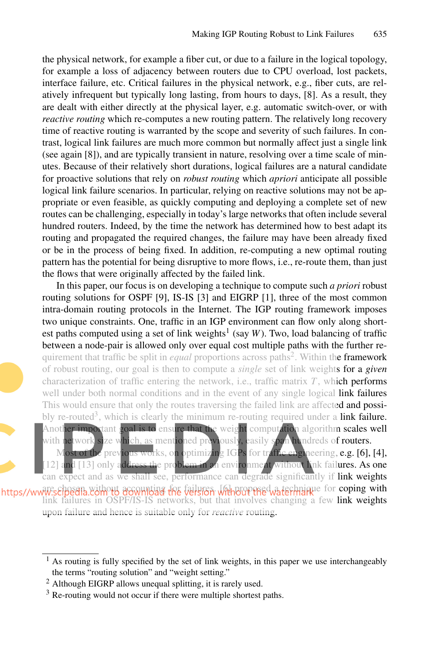the physical network, for example a fiber cut, or due to a failure in the logical topology, for example a loss of adjacency between routers due to CPU overload, lost packets, interface failure, etc. Critical failures in the physical network, e.g., fiber cuts, are relatively infrequent but typically long lasting, from hours to days, [8]. As a result, they are dealt with either directly at the physical layer, e.g. automatic switch-over, or with *reactive routing* which re-computes a new routing pattern. The relatively long recovery time of reactive routing is warranted by the scope and severity of such failures. In contrast, logical link failures are much more common but normally affect just a single link (see again [8]), and are typically transient in nature, resolving over a time scale of minutes. Because of their relatively short durations, logical failures are a natural candidate for proactive solutions that rely on *robust routing* which *apriori* anticipate all possible logical link failure scenarios. In particular, relying on reactive solutions may not be appropriate or even feasible, as quickly computing and deploying a complete set of new routes can be challenging, especially in today's large networks that often include several hundred routers. Indeed, by the time the network has determined how to best adapt its routing and propagated the required changes, the failure may have been already fixed or be in the process of being fixed. In addition, re-computing a new optimal routing pattern has the potential for being disruptive to more flows, i.e., re-route them, than just the flows that were originally affected by the failed link.

In this paper, our focus is on developing a technique to compute such *a priori* robust routing solutions for OSPF [9], IS-IS [3] and EIGRP [1], three of the most common intra-domain routing protocols in the Internet. The IGP routing framework imposes two unique constraints. One, traffic in an IGP environment can flow only along shortest paths computed using a set of link weights<sup>1</sup> (say *W*). Two, load balancing of traffic between a node-pair is allowed only over equal cost multiple paths with the further requirement that traffic be split in *equal* proportions across paths<sup>2</sup>. Within the framework of robust routing, our goal is then to compute a *single* set of link weights for a *given* characterization of traffic entering the network, i.e., traffic matrix *T*, which performs well under both normal conditions and in the event of any single logical link failures This would ensure that only the routes traversing the failed link are affected and possibly re-routed<sup>3</sup>, which is clearly the minimum re-routing required under a **link failure.** Another important goal is to ensure that the weight computation algorithm scales well with network size which, as mentioned previously, easily span hundreds of routers. Most of the previous works, on optimizing IGPs for traffic engineering, e.g. [6], [4], [12] and [13] only address the problem in an environment without link failures. As one

can expect and as we shall see, performance can degrade significantly if link weights https//www.schosen.without accounting the failuren with broponsed a technique for coping with link failures in OSPF/IS-IS networks, but that involves changing a few **link weights** upon failure and hence is suitable only for *reactive* routing.

<sup>1</sup> As routing is fully specified by the set of link weights, in this paper we use interchangeably the terms "routing solution" and "weight setting."

<sup>2</sup> Although EIGRP allows unequal splitting, it is rarely used.

<sup>&</sup>lt;sup>3</sup> Re-routing would not occur if there were multiple shortest paths.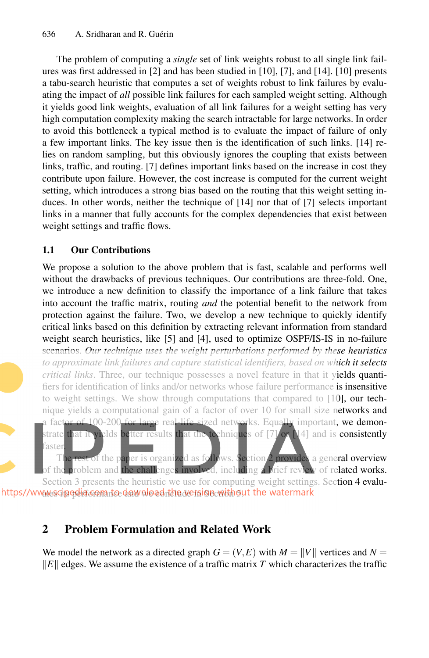The problem of computing a *single* set of link weights robust to all single link failures was first addressed in [2] and has been studied in [10], [7], and [14]. [10] presents a tabu-search heuristic that computes a set of weights robust to link failures by evaluating the impact of *all* possible link failures for each sampled weight setting. Although it yields good link weights, evaluation of all link failures for a weight setting has very high computation complexity making the search intractable for large networks. In order to avoid this bottleneck a typical method is to evaluate the impact of failure of only a few important links. The key issue then is the identification of such links. [14] relies on random sampling, but this obviously ignores the coupling that exists between links, traffic, and routing. [7] defines important links based on the increase in cost they contribute upon failure. However, the cost increase is computed for the current weight setting, which introduces a strong bias based on the routing that this weight setting induces. In other words, neither the technique of [14] nor that of [7] selects important links in a manner that fully accounts for the complex dependencies that exist between weight settings and traffic flows.

### **1.1 Our Contributions**

We propose a solution to the above problem that is fast, scalable and performs well without the drawbacks of previous techniques. Our contributions are three-fold. One, we introduce a new definition to classify the importance of a link failure that takes into account the traffic matrix, routing *and* the potential benefit to the network from protection against the failure. Two, we develop a new technique to quickly identify critical links based on this definition by extracting relevant information from standard weight search heuristics, like [5] and [4], used to optimize OSPF/IS-IS in no-failure scenarios. *Our technique uses the weight perturbations performed by these heuristics to approximate link failures and capture statistical identifiers, based on which it selects critical links*. Three, our technique possesses a novel feature in that it yields quantifiers for identification of links and/or networks whose failure performance is insensitive to weight settings. We show through computations that compared to [10], our technique yields a computational gain of a factor of over 10 for small size networks and a factor of 100-200 for large real-life sized networks. Equally important, we demonstrate that it yields better results that the techniques of  $[7]$  or  $[14]$  and is consistently faster

The rest of the paper is organized as follows. Section 2 provides a general overview of the problem and the challenges involved, including a brief review of related works. Section 3 presents the heuristic we use for computing weight settings. Section 4 evaluhttps//wwwscipedia.com.ite-download ithowersign-withgut the watermark

# **2 Problem Formulation and Related Work**

We model the network as a directed graph  $G = (V, E)$  with  $M = ||V||$  vertices and  $N =$  $\Vert E \Vert$  edges. We assume the existence of a traffic matrix *T* which characterizes the traffic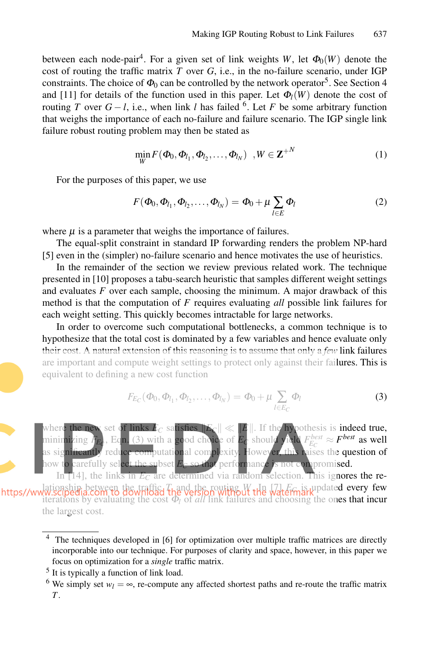between each node-pair<sup>4</sup>. For a given set of link weights *W*, let  $\Phi_0(W)$  denote the cost of routing the traffic matrix *T* over *G*, i.e., in the no-failure scenario, under IGP constraints. The choice of  $\Phi_0$  can be controlled by the network operator<sup>5</sup>. See Section 4 and [11] for details of the function used in this paper. Let  $\Phi_l(W)$  denote the cost of routing *T* over *G* − *l*, i.e., when link *l* has failed <sup>6</sup>. Let *F* be some arbitrary function that weighs the importance of each no-failure and failure scenario. The IGP single link failure robust routing problem may then be stated as

$$
\min_{W} F(\boldsymbol{\Phi}_0, \boldsymbol{\Phi}_{l_1}, \boldsymbol{\Phi}_{l_2}, \dots, \boldsymbol{\Phi}_{l_N}) \quad, W \in \mathbf{Z}^{+N} \tag{1}
$$

For the purposes of this paper, we use

$$
F(\Phi_0, \Phi_{l_1}, \Phi_{l_2}, \dots, \Phi_{l_N}) = \Phi_0 + \mu \sum_{l \in E} \Phi_l \tag{2}
$$

where  $\mu$  is a parameter that weighs the importance of failures.

The equal-split constraint in standard IP forwarding renders the problem NP-hard [5] even in the (simpler) no-failure scenario and hence motivates the use of heuristics.

In the remainder of the section we review previous related work. The technique presented in [10] proposes a tabu-search heuristic that samples different weight settings and evaluates *F* over each sample, choosing the minimum. A major drawback of this method is that the computation of *F* requires evaluating *all* possible link failures for each weight setting. This quickly becomes intractable for large networks.

In order to overcome such computational bottlenecks, a common technique is to hypothesize that the total cost is dominated by a few variables and hence evaluate only their cost. A natural extension of this reasoning is to assume that only a *few* link failures are important and compute weight settings to protect only against their failures. This is equivalent to defining a new cost function

$$
F_{E_C}(\Phi_0, \Phi_{l_1}, \Phi_{l_2}, \dots, \Phi_{l_N}) = \Phi_0 + \mu \sum_{l \in E_C} \Phi_l
$$
 (3)

e the new set of links  $E_C$  satisfies  $\|E_C\| \ll \|E\|$ . If the hypothesis is indeed true, minimizing  $F_{E_C}$ , Eqn. (3) with a good choice of  $E_C$  should yield  $F_{E_C}^{best} \approx F^{best}$  as well as significantly reduce computational complexity. However, this raises the question of how to carefully select the subset *E<sup>C</sup>* so that performance is not compromised.

In  $\Box$  14], the links in  $E_C$  are determined via random selection. This ignores the relationship between the traffic *T* and the routing *W*. In [7] *E<sup>C</sup>* is updated every few iterations by evaluating the cost <sup>Φ</sup>*<sup>l</sup>* of *all* link failures and choosing the ones that incur the largest cost.

<sup>&</sup>lt;sup>4</sup> The techniques developed in [6] for optimization over multiple traffic matrices are directly incorporable into our technique. For purposes of clarity and space, however, in this paper we focus on optimization for a *single* traffic matrix.

<sup>&</sup>lt;sup>5</sup> It is typically a function of link load.

<sup>&</sup>lt;sup>6</sup> We simply set  $w_l = \infty$ , re-compute any affected shortest paths and re-route the traffic matrix *T*.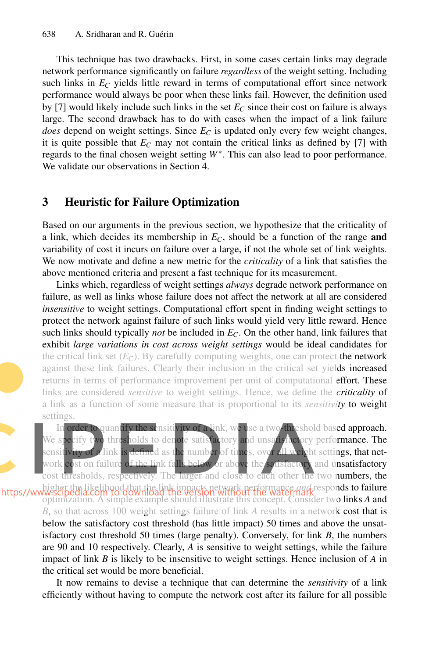This technique has two drawbacks. First, in some cases certain links may degrade network performance significantly on failure *regardless* of the weight setting. Including such links in *E<sup>C</sup>* yields little reward in terms of computational effort since network performance would always be poor when these links fail. However, the definition used by [7] would likely include such links in the set  $E_C$  since their cost on failure is always large. The second drawback has to do with cases when the impact of a link failure *does* depend on weight settings. Since *E<sup>C</sup>* is updated only every few weight changes, it is quite possible that  $E_C$  may not contain the critical links as defined by [7] with regards to the final chosen weight setting *W*<sup>∗</sup> . This can also lead to poor performance. We validate our observations in Section 4.

## **3 Heuristic for Failure Optimization**

Based on our arguments in the previous section, we hypothesize that the criticality of a link, which decides its membership in *EC*, should be a function of the range **and** variability of cost it incurs on failure over a large, if not the whole set of link weights. We now motivate and define a new metric for the *criticality* of a link that satisfies the above mentioned criteria and present a fast technique for its measurement.

Links which, regardless of weight settings *always* degrade network performance on failure, as well as links whose failure does not affect the network at all are considered *insensitive* to weight settings. Computational effort spent in finding weight settings to protect the network against failure of such links would yield very little reward. Hence such links should typically *not* be included in *EC*. On the other hand, link failures that exhibit *large variations in cost across weight settings* would be ideal candidates for the critical link set  $(E_C)$ . By carefully computing weights, one can protect **the network** against these link failures. Clearly their inclusion in the critical set yields increased returns in terms of performance improvement per unit of computational **effort. These** links are considered *sensitive* to weight settings. Hence, we define the *criticality* of a link as a function of some measure that is proportional to its *sensitivity* to weight settings.

In order to quantify the sensitivity of a link, we use a two-threshold based approach. We specify two thresholds to denote satisfactory and unsatisfactory performance. The sensitivity of a link is defined as the number of times, over all weight settings, that network cost on failure of the link falls below or above the satisfactory and unsatisfactory cost thresholds, respectively. The larger and close to each other the two numbers, the

higher the likelihood that the link impacts network performance *and* responds to failure optimization. A simple example should illustrate this concept. Consider two links *A* and *B*, so that across 100 weight settings failure of link *A* results in a network cost that is below the satisfactory cost threshold (has little impact) 50 times and above the unsatisfactory cost threshold 50 times (large penalty). Conversely, for link *B*, the numbers are 90 and 10 respectively. Clearly, *A* is sensitive to weight settings, while the failure impact of link *B* is likely to be insensitive to weight settings. Hence inclusion of *A* in the critical set would be more beneficial.

It now remains to devise a technique that can determine the *sensitivity* of a link efficiently without having to compute the network cost after its failure for all possible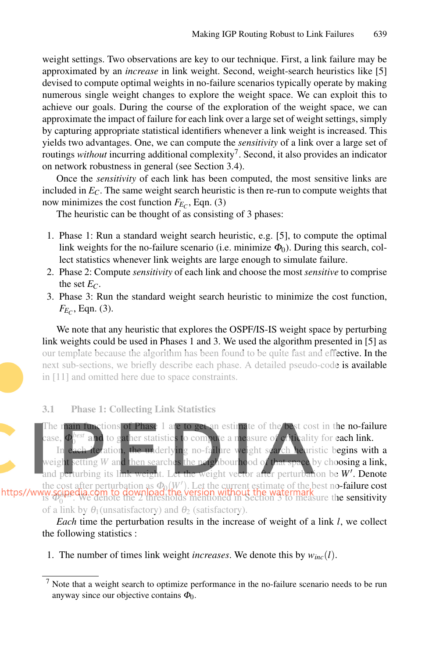weight settings. Two observations are key to our technique. First, a link failure may be approximated by an *increase* in link weight. Second, weight-search heuristics like [5] devised to compute optimal weights in no-failure scenarios typically operate by making numerous single weight changes to explore the weight space. We can exploit this to achieve our goals. During the course of the exploration of the weight space, we can approximate the impact of failure for each link over a large set of weight settings, simply by capturing appropriate statistical identifiers whenever a link weight is increased. This yields two advantages. One, we can compute the *sensitivity* of a link over a large set of routings *without* incurring additional complexity<sup>7</sup>. Second, it also provides an indicator on network robustness in general (see Section 3.4).

Once the *sensitivity* of each link has been computed, the most sensitive links are included in  $E_C$ . The same weight search heuristic is then re-run to compute weights that now minimizes the cost function  $F_{E_C}$ , Eqn. (3)

The heuristic can be thought of as consisting of 3 phases:

- 1. Phase 1: Run a standard weight search heuristic, e.g. [5], to compute the optimal link weights for the no-failure scenario (i.e. minimize  $\Phi_0$ ). During this search, collect statistics whenever link weights are large enough to simulate failure.
- 2. Phase 2: Compute *sensitivity* of each link and choose the most *sensitive* to comprise the set  $E_C$ .
- 3. Phase 3: Run the standard weight search heuristic to minimize the cost function,  $F_{E_C}$ , Eqn. (3).

We note that any heuristic that explores the OSPF/IS-IS weight space by perturbing link weights could be used in Phases 1 and 3. We used the algorithm presented in [5] as our template because the algorithm has been found to be quite fast and effective. In the next sub-sections, we briefly describe each phase. A detailed pseudo-code is available in [11] and omitted here due to space constraints.

#### **3.1 Phase 1: Collecting Link Statistics**

The main functions of Phase 1 are to get an estimate of the best cost in the no-failure case, <sup>Φ</sup>*best* 0 and to gather statistics to compute a measure of criticality for each link. In each iteration, the underlying no-failure weight search heuristic begins with a weight setting *W* and then searches the neighbourhood of that space by choosing a link, and perturbing its link weight. Let the weight vector after perturbation be *W*′ . Denote the cost after perturbation as  $\Phi_0(W')$ . Let the current estimate of the best no-**failure cost** 

we **Scipe dia. Com to download, the version without the watermark**<br>is  $\Phi_0^{\sigma}$ . We denote the 2 thresholds mentioned in Section 3 to measure the sensitivity of a link by  $\theta_1$ (unsatisfactory) and  $\theta_2$  (satisfactory).

*Each* time the perturbation results in the increase of weight of a link *l*, we collect the following statistics :

1. The number of times link weight *increases*. We denote this by  $w_{inc}(l)$ .

 $<sup>7</sup>$  Note that a weight search to optimize performance in the no-failure scenario needs to be run</sup> anyway since our objective contains  $\Phi_0$ .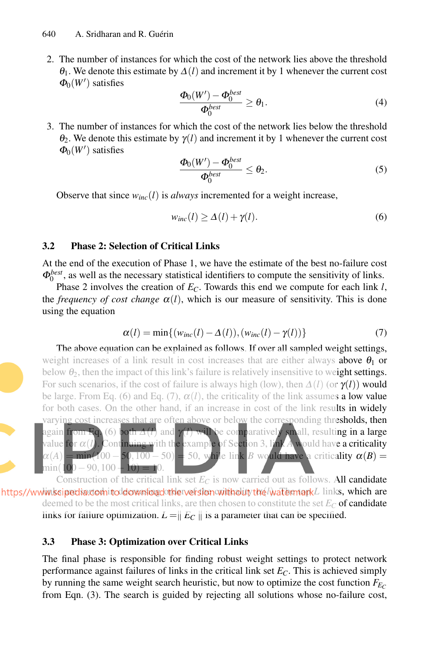2. The number of instances for which the cost of the network lies above the threshold  $\theta_1$ . We denote this estimate by  $\Delta(l)$  and increment it by 1 whenever the current cost  $\Phi_0(W')$  satisfies

$$
\frac{\boldsymbol{\Phi}_{0}(W') - \boldsymbol{\Phi}_{0}^{best}}{\boldsymbol{\Phi}_{0}^{best}} \geq \theta_{1}.
$$
\n(4)

3. The number of instances for which the cost of the network lies below the threshold <sup>θ</sup>2. We denote this estimate by <sup>γ</sup>(*l*) and increment it by 1 whenever the current cost  $\Phi_0(W')$  satisfies

$$
\frac{\boldsymbol{\Phi}_{0}(W')-\boldsymbol{\Phi}_{0}^{best}}{\boldsymbol{\Phi}_{0}^{best}} \leq \theta_{2}.
$$
\n(5)

Observe that since  $w_{inc}(l)$  is *always* incremented for a weight increase,

$$
w_{inc}(l) \ge \Delta(l) + \gamma(l). \tag{6}
$$

### **3.2 Phase 2: Selection of Critical Links**

At the end of the execution of Phase 1, we have the estimate of the best no-failure cost  $\Phi_0^{best}$ , as well as the necessary statistical identifiers to compute the sensitivity of links.

Phase 2 involves the creation of *EC*. Towards this end we compute for each link *l*, the *frequency of cost change*  $\alpha(l)$ , which is our measure of sensitivity. This is done using the equation

$$
\alpha(l) = \min\{(w_{inc}(l) - \Delta(l)), (w_{inc}(l) - \gamma(l))\}
$$
\n(7)

The above equation can be explained as follows. If over all sampled weight settings, weight increases of a link result in cost increases that are either always **above**  $\theta_1$  **or** below  $\theta_2$ , then the impact of this link's failure is relatively insensitive to weight settings. For such scenarios, if the cost of failure is always high (low), then  $\Delta(l)$  (or  $\gamma(l)$ ) would be large. From Eq. (6) and Eq. (7),  $\alpha(l)$ , the criticality of the link assumes **a low value** for both cases. On the other hand, if an increase in cost of the link results in widely varying cost increases that are often above or below the corresponding thresholds, then again from Eq. (6) both <sup>∆</sup>(*l*) and γ(*l*) will be comparatively small, resulting in a large value for  $\alpha(l)$ . Continuing with the example of Section 3, link A would have a criticality  $\alpha(A)$  = min(100 - 50,100 - 50) = 50, while link *B* would have a criticality  $\alpha(B)$  =  $\min(100-90,100-10) = 10.$ 

Construction of the critical link set  $E_C$  is now carried out as follows. All candidate https//www.issipedia.com/itoddownloadottlervefsilonoviitholutythe /waTemarkL links, which are deemed to be the most critical links, are then chosen to constitute the set  $E_C$  of candidate links for failure optimization.  $L = ||E_C||$  is a parameter that can be specified.

## **3.3 Phase 3: Optimization over Critical Links**

The final phase is responsible for finding robust weight settings to protect network performance against failures of links in the critical link set *EC*. This is achieved simply by running the same weight search heuristic, but now to optimize the cost function  $F_{E_C}$ from Eqn. (3). The search is guided by rejecting all solutions whose no-failure cost,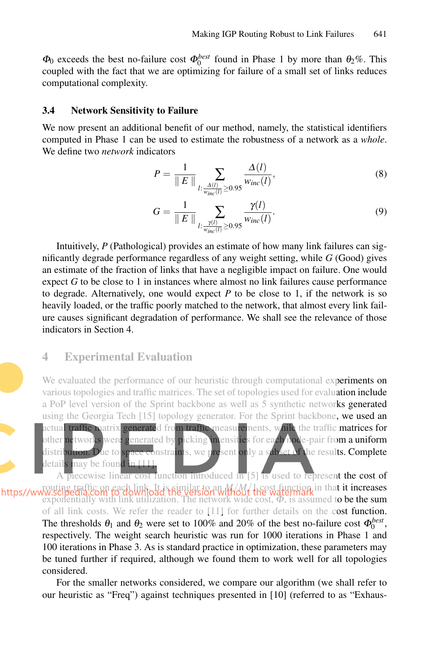$\Phi_0$  exceeds the best no-failure cost  $\Phi_0^{best}$  found in Phase 1 by more than  $\theta_2\%$ . This coupled with the fact that we are optimizing for failure of a small set of links reduces computational complexity.

#### **3.4 Network Sensitivity to Failure**

We now present an additional benefit of our method, namely, the statistical identifiers computed in Phase 1 can be used to estimate the robustness of a network as a *whole*. We define two *network* indicators

$$
P = \frac{1}{\parallel E \parallel} \sum_{l:\frac{\Delta(l)}{w_{inc}(l)} \ge 0.95} \frac{\Delta(l)}{w_{inc}(l)},
$$
\n(8)

$$
G = \frac{1}{\|E\|} \sum_{l:\frac{\gamma(l)}{w_{inc}(l)} \ge 0.95} \frac{\gamma(l)}{w_{inc}(l)}.
$$
 (9)

Intuitively, *P* (Pathological) provides an estimate of how many link failures can significantly degrade performance regardless of any weight setting, while *G* (Good) gives an estimate of the fraction of links that have a negligible impact on failure. One would expect *G* to be close to 1 in instances where almost no link failures cause performance to degrade. Alternatively, one would expect  $P$  to be close to 1, if the network is so heavily loaded, or the traffic poorly matched to the network, that almost every link failure causes significant degradation of performance. We shall see the relevance of those indicators in Section 4.

### **4 Experimental Evaluation**

We evaluated the performance of our heuristic through computational experiments on various topologies and traffic matrices. The set of topologies used for evaluation include a PoP level version of the Sprint backbone as well as 5 synthetic networks generated using the Georgia Tech [15] topology generator. For the Sprint backbone, we used an actual traffic matrix generated from traffic measurements, while the traffic matrices for other networks were generated by picking intensities for each node-pair from a uniform distribution. Due to space constraints, we present only a subset of the results. Complete details may be found in [11].

A piecewise linear cost function introduced in [5] is used to represent the cost of routing traffic on each link. It is similar to an *M*/*M*/1 cost function in that it increases exponentially with link utilization. The network wide cost,  $\Phi$ , is assumed to be the sum of all link costs. We refer the reader to [11] for further details on the cost function. The thresholds  $\theta_1$  and  $\theta_2$  were set to 100% and 20% of the best no-failure cost  $\Phi_0^{best}$ , respectively. The weight search heuristic was run for 1000 iterations in Phase 1 and 100 iterations in Phase 3. As is standard practice in optimization, these parameters may be tuned further if required, although we found them to work well for all topologies considered.

> For the smaller networks considered, we compare our algorithm (we shall refer to our heuristic as "Freq") against techniques presented in [10] (referred to as "Exhaus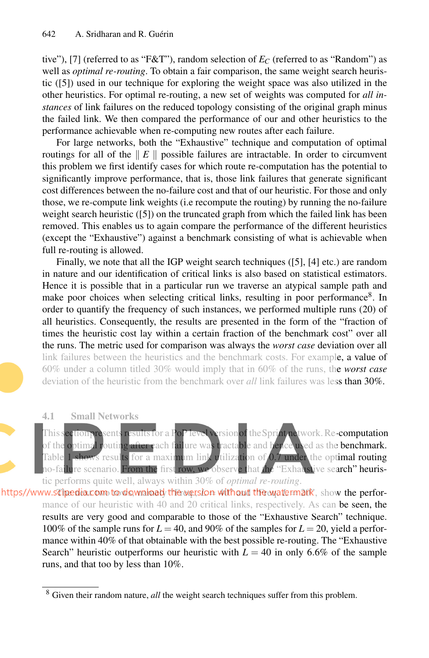tive"), [7] (referred to as "F&T"), random selection of  $E_C$  (referred to as "Random") as well as *optimal re-routing*. To obtain a fair comparison, the same weight search heuristic ([5]) used in our technique for exploring the weight space was also utilized in the other heuristics. For optimal re-routing, a new set of weights was computed for *all instances* of link failures on the reduced topology consisting of the original graph minus the failed link. We then compared the performance of our and other heuristics to the performance achievable when re-computing new routes after each failure.

For large networks, both the "Exhaustive" technique and computation of optimal routings for all of the  $\parallel E \parallel$  possible failures are intractable. In order to circumvent this problem we first identify cases for which route re-computation has the potential to significantly improve performance, that is, those link failures that generate significant cost differences between the no-failure cost and that of our heuristic. For those and only those, we re-compute link weights (i.e recompute the routing) by running the no-failure weight search heuristic ([5]) on the truncated graph from which the failed link has been removed. This enables us to again compare the performance of the different heuristics (except the "Exhaustive") against a benchmark consisting of what is achievable when full re-routing is allowed.

Finally, we note that all the IGP weight search techniques ([5], [4] etc.) are random in nature and our identification of critical links is also based on statistical estimators. Hence it is possible that in a particular run we traverse an atypical sample path and make poor choices when selecting critical links, resulting in poor performance<sup>8</sup>. In order to quantify the frequency of such instances, we performed multiple runs (20) of all heuristics. Consequently, the results are presented in the form of the "fraction of times the heuristic cost lay within a certain fraction of the benchmark cost" over all the runs. The metric used for comparison was always the *worst case* deviation over all link failures between the heuristics and the benchmark costs. For example, a value of 60% under a column titled 30% would imply that in 60% of the runs, the *worst case* deviation of the heuristic from the benchmark over *all* link failures was less than 30%.

#### **4.1 Small Networks**

This sectionpresents results for a PoP level versionof theSprint network. Re-computation of the optimal routing after each failure was tractable and hence used as the benchmark. Table 1 shows results for a maximum link utilization of 0.7 under the optimal routing no-failure scenario. From the first row, we observe that the "Exhaustive search" heuristic performs quite well, always within 30% of *optimal re-routing*.

https//www.scipedia.com to download the version without the watermack, show the performance of our heuristic with 40 and 20 critical links, respectively. As can be seen, the results are very good and comparable to those of the "Exhaustive Search" technique. 100% of the sample runs for  $L = 40$ , and 90% of the samples for  $L = 20$ , yield a performance within 40% of that obtainable with the best possible re-routing. The "Exhaustive Search" heuristic outperforms our heuristic with  $L = 40$  in only 6.6% of the sample runs, and that too by less than 10%.

<sup>8</sup> Given their random nature, *all* the weight search techniques suffer from this problem.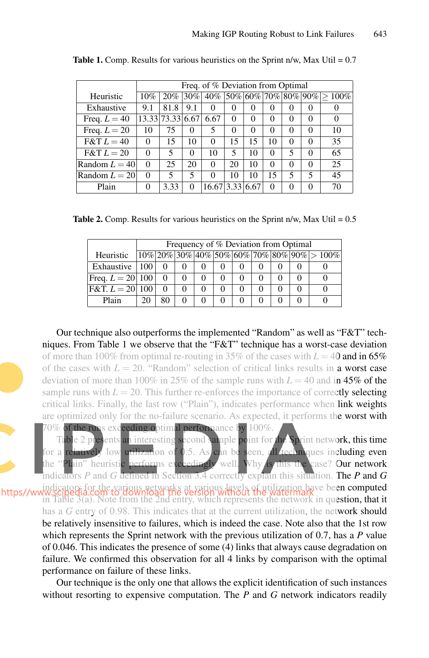|                 | Freq. of % Deviation from Optimal |                  |                   |                   |          |    |          |                   |          |                                                  |
|-----------------|-----------------------------------|------------------|-------------------|-------------------|----------|----|----------|-------------------|----------|--------------------------------------------------|
| Heuristic       | 10%                               | 20%              |                   |                   |          |    |          |                   |          | $ 30\% $ 40\% $ 50\% 60\% 70\% 80\% 90\% >100\%$ |
| Exhaustive      | 9.1                               | 81.8             | 9.1               | $\mathbf{\Omega}$ | 0        | 0  |          | $\theta$          |          |                                                  |
| Freq. $L = 40$  |                                   | 13.33 73.33 6.67 |                   | 6.67              | $\Omega$ | 0  | $\theta$ | $\theta$          | $\theta$ | $\theta$                                         |
| Freq. $L = 20$  | 10                                | 75               | $\theta$          | 5                 | 0        | 0  | $\theta$ | 0                 | $\theta$ | 10                                               |
| $F&T L = 40$    | $\Omega$                          | 15               | 10                | $\theta$          | 15       | 15 | 10       | 0                 |          | 35                                               |
| $F&T L = 20$    | 0                                 | 5                | 0                 | 10                | 5        | 10 | $\theta$ | 5                 | $\theta$ | 65                                               |
| Random $L = 40$ | 0                                 | 25               | 20                | $\theta$          | 20       | 10 | $\theta$ | 0                 | $\theta$ | 25                                               |
| Random $L = 20$ | 0                                 | 5                | 5                 | $\theta$          | 10       | 10 | 15       | 5                 | 5        | 45                                               |
| Plain           |                                   | 3.33             | $\mathbf{\Omega}$ | 16.6713.3316.67   |          |    |          | $\mathbf{\Omega}$ |          | 70                                               |

| <b>Table 1.</b> Comp. Results for various heuristics on the Sprint n/w, Max Util = $0.7$ |  |  |  |  |  |  |  |
|------------------------------------------------------------------------------------------|--|--|--|--|--|--|--|
|------------------------------------------------------------------------------------------|--|--|--|--|--|--|--|

**Table 2.** Comp. Results for various heuristics on the Sprint  $n/w$ , Max Util =  $0.5$ 

|                      | Frequency of % Deviation from Optimal |  |  |  |  |  |  |  |  |                                                                     |
|----------------------|---------------------------------------|--|--|--|--|--|--|--|--|---------------------------------------------------------------------|
| Heuristic            |                                       |  |  |  |  |  |  |  |  | $\left[10\% 20\% 30\% 40\% 50\% 60\% 70\% 80\% 90\% >100\% \right]$ |
| Exhaustive 1         | 100                                   |  |  |  |  |  |  |  |  |                                                                     |
| Freq. $L = 20$   100 |                                       |  |  |  |  |  |  |  |  |                                                                     |
| $F&T. L = 20 100$    |                                       |  |  |  |  |  |  |  |  |                                                                     |
| Plain                |                                       |  |  |  |  |  |  |  |  |                                                                     |

Our technique also outperforms the implemented "Random" as well as "F&T" techniques. From Table 1 we observe that the "F&T" technique has a worst-case deviation of more than 100% from optimal re-routing in 35% of the cases with  $L = 40$  and in 65% of the cases with  $L = 20$ . "Random" selection of critical links results in **a worst case** deviation of more than 100% in 25% of the sample runs with  $L = 40$  and in 45% of the sample runs with  $L = 20$ . This further re-enforces the importance of correctly **selecting** critical links. Finally, the last row ("Plain"), indicates performance when **link weights** are optimized only for the no-failure scenario. As expected, it performs the worst with 70% of the runs exceeding optimal performance by 100%.

Table 2 presents an interesting second sample point for the Sprint network, this time for a relatively low utilization of 0.5. As can be seen, all techniques including even the "Plain" heuristic performs exceedingly well. Why is this the case? Our network indicators *P* and *G* defined in Section 3.4 correctly explain this situation. The *P* and *G*

indicators for the various networks at various levels of utilization have been computed in Table  $3(a)$ . Note from the 2nd entry, which represents the network in question, that it has a *G* entry of 0.98. This indicates that at the current utilization, the network should be relatively insensitive to failures, which is indeed the case. Note also that the 1st row which represents the Sprint network with the previous utilization of 0.7, has a *P* value of 0.046. This indicates the presence of some (4) links that always cause degradation on failure. We confirmed this observation for all 4 links by comparison with the optimal performance on failure of these links.

> Our technique is the only one that allows the explicit identification of such instances without resorting to expensive computation. The *P* and *G* network indicators readily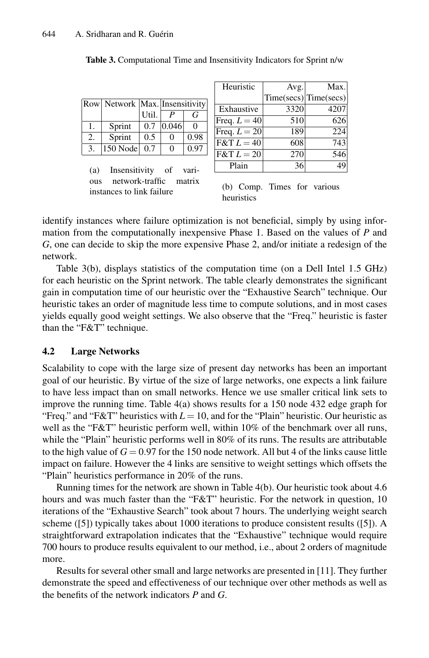|    |          |       | Row Network Max. Insensitivity |      |  |
|----|----------|-------|--------------------------------|------|--|
|    |          | Util. |                                | ( i  |  |
|    | Sprint   | 0.7   | 0.046                          |      |  |
| 2. | Sprint   | 0.5   |                                | 0.98 |  |
| 3. | 150 Node | 0.7   | $\mathbf{\Omega}$              | 0.97 |  |

(a) Insensitivity of various network-traffic matrix instances to link failure

| Heuristic      | Avg. | Max.                    |
|----------------|------|-------------------------|
|                |      | $Time(secs)$ Time(secs) |
| Exhaustive     | 3320 | 4207                    |
| Freq. $L = 40$ | 510  | 626                     |
| Freq. $L = 20$ | 189  | 224                     |
| $F&T L = 40$   | 608  | 743                     |
| $F&T L = 20$   | 270  | 546                     |
| Plain          |      |                         |

**Table 3.** Computational Time and Insensitivity Indicators for Sprint n/w

(b) Comp. Times for various heuristics

identify instances where failure optimization is not beneficial, simply by using information from the computationally inexpensive Phase 1. Based on the values of *P* and *G*, one can decide to skip the more expensive Phase 2, and/or initiate a redesign of the network.

Table 3(b), displays statistics of the computation time (on a Dell Intel 1.5 GHz) for each heuristic on the Sprint network. The table clearly demonstrates the significant gain in computation time of our heuristic over the "Exhaustive Search" technique. Our heuristic takes an order of magnitude less time to compute solutions, and in most cases yields equally good weight settings. We also observe that the "Freq." heuristic is faster than the "F&T" technique.

### **4.2 Large Networks**

Scalability to cope with the large size of present day networks has been an important goal of our heuristic. By virtue of the size of large networks, one expects a link failure to have less impact than on small networks. Hence we use smaller critical link sets to improve the running time. Table 4(a) shows results for a 150 node 432 edge graph for "Freq." and "F&T" heuristics with  $L = 10$ , and for the "Plain" heuristic. Our heuristic as well as the "F&T" heuristic perform well, within 10% of the benchmark over all runs, while the "Plain" heuristic performs well in 80% of its runs. The results are attributable to the high value of  $G = 0.97$  for the 150 node network. All but 4 of the links cause little impact on failure. However the 4 links are sensitive to weight settings which offsets the "Plain" heuristics performance in 20% of the runs.

Running times for the network are shown in Table 4(b). Our heuristic took about 4.6 hours and was much faster than the "F&T" heuristic. For the network in question, 10 iterations of the "Exhaustive Search" took about 7 hours. The underlying weight search scheme ([5]) typically takes about 1000 iterations to produce consistent results ([5]). A straightforward extrapolation indicates that the "Exhaustive" technique would require 700 hours to produce results equivalent to our method, i.e., about 2 orders of magnitude more.

Results for several other small and large networks are presented in [11]. They further demonstrate the speed and effectiveness of our technique over other methods as well as the benefits of the network indicators *P* and *G*.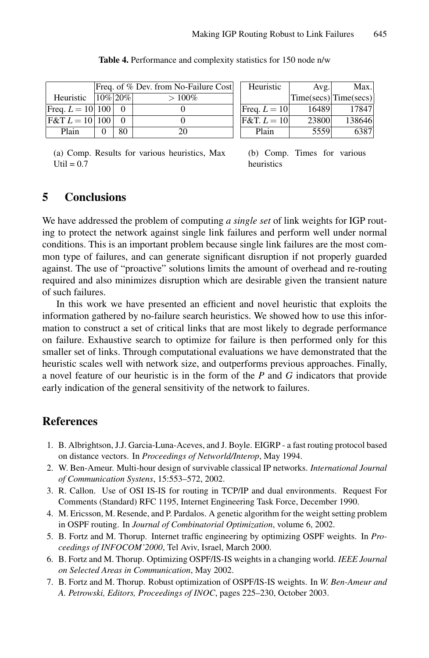|                                         | Freq. of % Dev. from No-Failure Cost |    |          |  |  |
|-----------------------------------------|--------------------------------------|----|----------|--|--|
| Heuristic $ 10\% 20\% $                 |                                      |    | $>100\%$ |  |  |
| Freq. $L = 10   100  $                  |                                      |    |          |  |  |
| $\left  \nabla \& T L = 10 \right  100$ |                                      |    |          |  |  |
| Plain                                   |                                      | 80 |          |  |  |

**Table 4.** Performance and complexity statistics for 150 node n/w

| Plain                                     | 5559 | 6387 |  |  |
|-------------------------------------------|------|------|--|--|
| (b) Comp. Times for various<br>heuristics |      |      |  |  |

Heuristic Avg. Max.

Freq.  $L = 10$  16489 17847  $\text{F&T. } L = 10 \begin{bmatrix} 23800 & 138646 \end{bmatrix}$ 

Time(secs) Time(secs)

## (a) Comp. Results for various heuristics, Max  $Util = 0.7$

# **5 Conclusions**

We have addressed the problem of computing *a single set* of link weights for IGP routing to protect the network against single link failures and perform well under normal conditions. This is an important problem because single link failures are the most common type of failures, and can generate significant disruption if not properly guarded against. The use of "proactive" solutions limits the amount of overhead and re-routing required and also minimizes disruption which are desirable given the transient nature of such failures.

In this work we have presented an efficient and novel heuristic that exploits the information gathered by no-failure search heuristics. We showed how to use this information to construct a set of critical links that are most likely to degrade performance on failure. Exhaustive search to optimize for failure is then performed only for this smaller set of links. Through computational evaluations we have demonstrated that the heuristic scales well with network size, and outperforms previous approaches. Finally, a novel feature of our heuristic is in the form of the *P* and *G* indicators that provide early indication of the general sensitivity of the network to failures.

# **References**

- 1. B. Albrightson, J.J. Garcia-Luna-Aceves, and J. Boyle. EIGRP a fast routing protocol based on distance vectors. In *Proceedings of Networld/Interop*, May 1994.
- 2. W. Ben-Ameur. Multi-hour design of survivable classical IP networks. *International Journal of Communication Systens*, 15:553–572, 2002.
- 3. R. Callon. Use of OSI IS-IS for routing in TCP/IP and dual environments. Request For Comments (Standard) RFC 1195, Internet Engineering Task Force, December 1990.
- 4. M. Ericsson, M. Resende, and P. Pardalos. A genetic algorithm for the weight setting problem in OSPF routing. In *Journal of Combinatorial Optimization*, volume 6, 2002.
- 5. B. Fortz and M. Thorup. Internet traffic engineering by optimizing OSPF weights. In *Proceedings of INFOCOM'2000*, Tel Aviv, Israel, March 2000.
- 6. B. Fortz and M. Thorup. Optimizing OSPF/IS-IS weights in a changing world. *IEEE Journal on Selected Areas in Communication*, May 2002.
- 7. B. Fortz and M. Thorup. Robust optimization of OSPF/IS-IS weights. In *W. Ben-Ameur and A. Petrowski, Editors, Proceedings of INOC*, pages 225–230, October 2003.